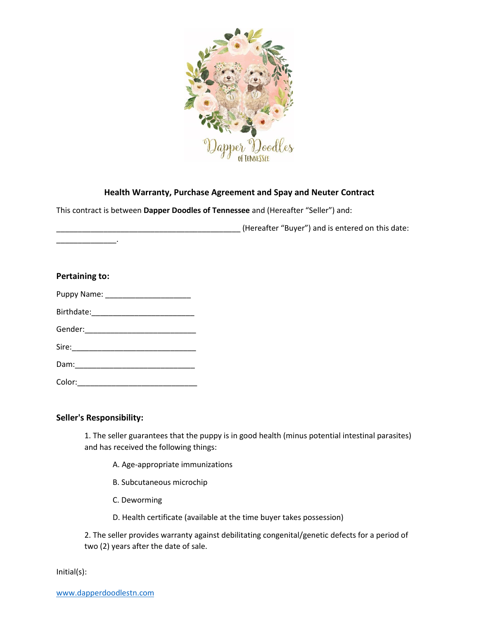

# **Health Warranty, Purchase Agreement and Spay and Neuter Contract**

This contract is between **Dapper Doodles of Tennessee** and (Hereafter "Seller") and:

\_\_\_\_\_\_\_\_\_\_\_\_\_\_\_\_\_\_\_\_\_\_\_\_\_\_\_\_\_\_\_\_\_\_\_\_\_\_\_\_\_\_\_ (Hereafter "Buyer") and is entered on this date:

| Pertaining to:                   |  |  |  |
|----------------------------------|--|--|--|
| Puppy Name: ____________________ |  |  |  |
|                                  |  |  |  |
|                                  |  |  |  |
|                                  |  |  |  |
|                                  |  |  |  |
|                                  |  |  |  |

## **Seller's Responsibility:**

\_\_\_\_\_\_\_\_\_\_\_\_\_\_.

1. The seller guarantees that the puppy is in good health (minus potential intestinal parasites) and has received the following things:

- A. Age-appropriate immunizations
- B. Subcutaneous microchip
- C. Deworming
- D. Health certificate (available at the time buyer takes possession)

2. The seller provides warranty against debilitating congenital/genetic defects for a period of two (2) years after the date of sale.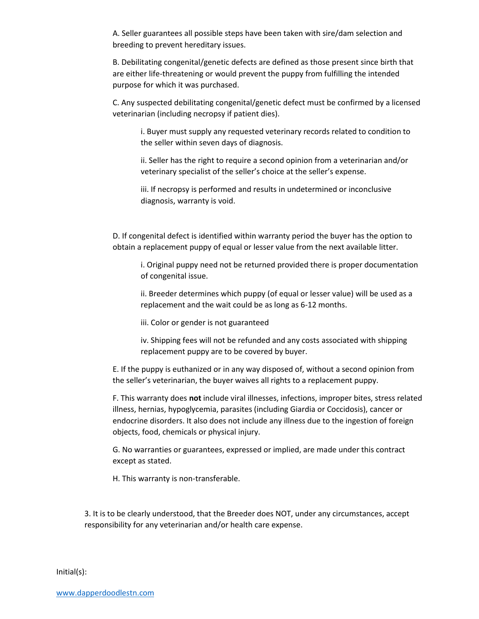A. Seller guarantees all possible steps have been taken with sire/dam selection and breeding to prevent hereditary issues.

B. Debilitating congenital/genetic defects are defined as those present since birth that are either life-threatening or would prevent the puppy from fulfilling the intended purpose for which it was purchased.

C. Any suspected debilitating congenital/genetic defect must be confirmed by a licensed veterinarian (including necropsy if patient dies).

i. Buyer must supply any requested veterinary records related to condition to the seller within seven days of diagnosis.

ii. Seller has the right to require a second opinion from a veterinarian and/or veterinary specialist of the seller's choice at the seller's expense.

iii. If necropsy is performed and results in undetermined or inconclusive diagnosis, warranty is void.

D. If congenital defect is identified within warranty period the buyer has the option to obtain a replacement puppy of equal or lesser value from the next available litter.

i. Original puppy need not be returned provided there is proper documentation of congenital issue.

ii. Breeder determines which puppy (of equal or lesser value) will be used as a replacement and the wait could be as long as 6-12 months.

iii. Color or gender is not guaranteed

iv. Shipping fees will not be refunded and any costs associated with shipping replacement puppy are to be covered by buyer.

E. If the puppy is euthanized or in any way disposed of, without a second opinion from the seller's veterinarian, the buyer waives all rights to a replacement puppy.

F. This warranty does **not** include viral illnesses, infections, improper bites, stress related illness, hernias, hypoglycemia, parasites (including Giardia or Coccidosis), cancer or endocrine disorders. It also does not include any illness due to the ingestion of foreign objects, food, chemicals or physical injury.

G. No warranties or guarantees, expressed or implied, are made under this contract except as stated.

H. This warranty is non-transferable.

3. It is to be clearly understood, that the Breeder does NOT, under any circumstances, accept responsibility for any veterinarian and/or health care expense.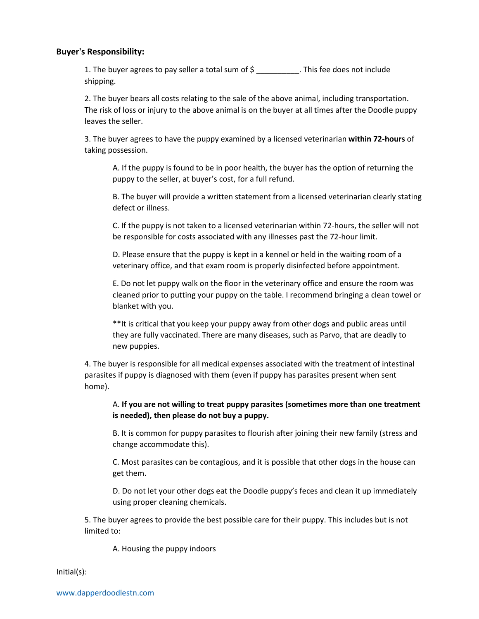### **Buyer's Responsibility:**

1. The buyer agrees to pay seller a total sum of \$ \_\_\_\_\_\_\_\_\_\_. This fee does not include shipping.

2. The buyer bears all costs relating to the sale of the above animal, including transportation. The risk of loss or injury to the above animal is on the buyer at all times after the Doodle puppy leaves the seller.

3. The buyer agrees to have the puppy examined by a licensed veterinarian **within 72-hours** of taking possession.

A. If the puppy is found to be in poor health, the buyer has the option of returning the puppy to the seller, at buyer's cost, for a full refund.

B. The buyer will provide a written statement from a licensed veterinarian clearly stating defect or illness.

C. If the puppy is not taken to a licensed veterinarian within 72-hours, the seller will not be responsible for costs associated with any illnesses past the 72-hour limit.

D. Please ensure that the puppy is kept in a kennel or held in the waiting room of a veterinary office, and that exam room is properly disinfected before appointment.

E. Do not let puppy walk on the floor in the veterinary office and ensure the room was cleaned prior to putting your puppy on the table. I recommend bringing a clean towel or blanket with you.

\*\*It is critical that you keep your puppy away from other dogs and public areas until they are fully vaccinated. There are many diseases, such as Parvo, that are deadly to new puppies.

4. The buyer is responsible for all medical expenses associated with the treatment of intestinal parasites if puppy is diagnosed with them (even if puppy has parasites present when sent home).

## A. **If you are not willing to treat puppy parasites (sometimes more than one treatment is needed), then please do not buy a puppy.**

B. It is common for puppy parasites to flourish after joining their new family (stress and change accommodate this).

C. Most parasites can be contagious, and it is possible that other dogs in the house can get them.

D. Do not let your other dogs eat the Doodle puppy's feces and clean it up immediately using proper cleaning chemicals.

5. The buyer agrees to provide the best possible care for their puppy. This includes but is not limited to:

A. Housing the puppy indoors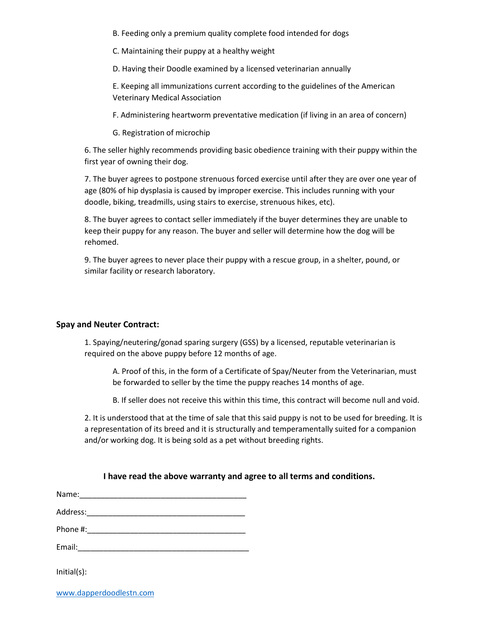B. Feeding only a premium quality complete food intended for dogs

C. Maintaining their puppy at a healthy weight

D. Having their Doodle examined by a licensed veterinarian annually

E. Keeping all immunizations current according to the guidelines of the American Veterinary Medical Association

F. Administering heartworm preventative medication (if living in an area of concern)

G. Registration of microchip

6. The seller highly recommends providing basic obedience training with their puppy within the first year of owning their dog.

7. The buyer agrees to postpone strenuous forced exercise until after they are over one year of age (80% of hip dysplasia is caused by improper exercise. This includes running with your doodle, biking, treadmills, using stairs to exercise, strenuous hikes, etc).

8. The buyer agrees to contact seller immediately if the buyer determines they are unable to keep their puppy for any reason. The buyer and seller will determine how the dog will be rehomed.

9. The buyer agrees to never place their puppy with a rescue group, in a shelter, pound, or similar facility or research laboratory.

#### **Spay and Neuter Contract:**

1. Spaying/neutering/gonad sparing surgery (GSS) by a licensed, reputable veterinarian is required on the above puppy before 12 months of age.

A. Proof of this, in the form of a Certificate of Spay/Neuter from the Veterinarian, must be forwarded to seller by the time the puppy reaches 14 months of age.

B. If seller does not receive this within this time, this contract will become null and void.

2. It is understood that at the time of sale that this said puppy is not to be used for breeding. It is a representation of its breed and it is structurally and temperamentally suited for a companion and/or working dog. It is being sold as a pet without breeding rights.

#### **I have read the above warranty and agree to all terms and conditions.**

| Name:    |  |  |
|----------|--|--|
| Address: |  |  |
| Phone #: |  |  |

Email: